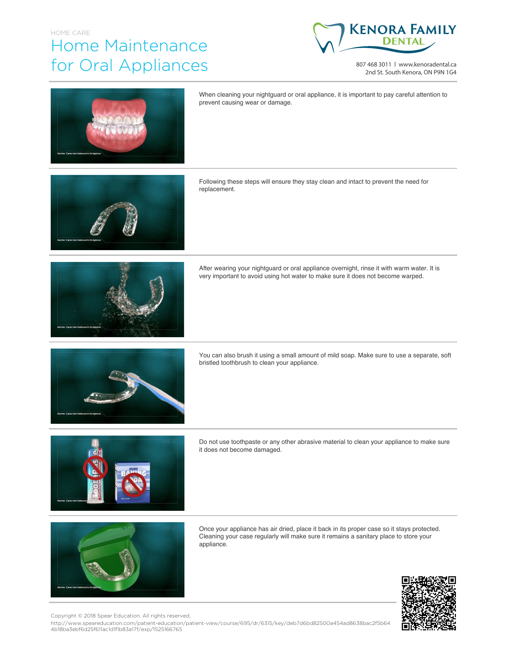## HOME CARE Home Maintenance for Oral Appliances



807 468 3011 | www.kenoradental.ca 2nd St. South Kenora, ON P9N 1G4



When cleaning your nightguard or oral appliance, it is important to pay careful attention to prevent causing wear or damage.

Following these steps will ensure they stay clean and intact to prevent the need for replacement.



After wearing your nightguard or oral appliance overnight, rinse it with warm water. It is very important to avoid using hot water to make sure it does not become warped.



You can also brush it using a small amount of mild soap. Make sure to use a separate, soft bristled toothbrush to clean your appliance.



Do not use toothpaste or any other abrasive material to clean your appliance to make sure it does not become damaged.



Once your appliance has air dried, place it back in its proper case so it stays protected. Cleaning your case regularly will make sure it remains a sanitary place to store your appliance.



Copyright © 2018 Spear Education. All rights reserved.

http://www.speareducation.com/patient-education/patient-view/course/695/dr/6315/key/deb7d6bd82500a454ad8638bac2f5b64 4b18ba3ebf6d25f611ac1d1f1b83a17f/exp/1525166765